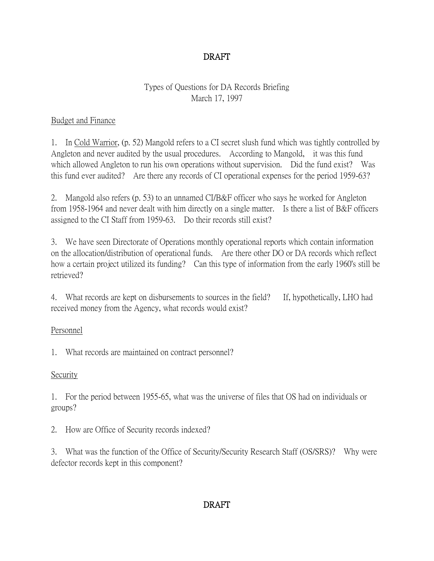# DRAFT

### Types of Questions for DA Records Briefing March 17, 1997

#### Budget and Finance

1. In Cold Warrior, (p. 52) Mangold refers to a CI secret slush fund which was tightly controlled by Angleton and never audited by the usual procedures. According to Mangold, it was this fund which allowed Angleton to run his own operations without supervision. Did the fund exist? Was this fund ever audited? Are there any records of CI operational expenses for the period 1959-63?

2. Mangold also refers (p. 53) to an unnamed CI/B&F officer who says he worked for Angleton from 1958-1964 and never dealt with him directly on a single matter. Is there a list of B&F officers assigned to the CI Staff from 1959-63. Do their records still exist?

3. We have seen Directorate of Operations monthly operational reports which contain information on the allocation/distribution of operational funds. Are there other DO or DA records which reflect how a certain project utilized its funding? Can this type of information from the early 1960's still be retrieved?

4. What records are kept on disbursements to sources in the field? If, hypothetically, LHO had received money from the Agency, what records would exist?

### Personnel

1. What records are maintained on contract personnel?

### Security

1. For the period between 1955-65, what was the universe of files that OS had on individuals or groups?

2. How are Office of Security records indexed?

3. What was the function of the Office of Security/Security Research Staff (OS/SRS)? Why were defector records kept in this component?

### DRAFT